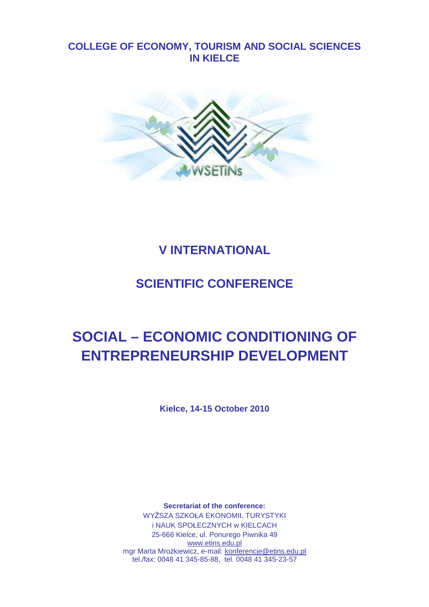# **COLLEGE OF ECONOMY, TOURISM AND SOCIAL SCIENCES IN KIELCE**



# **V INTERNATIONAL**

# **SCIENTIFIC CONFERENCE**

# **SOCIAL – ECONOMIC CONDITIONING OF ENTREPRENEURSHIP DEVELOPMENT**

**Kielce, 14-15 October 2010** 

**Secretariat of the conference:**  WYśSZA SZKOŁA EKONOMII, TURYSTYKI i NAUK SPOŁECZNYCH w KIELCACH 25-666 Kielce, ul. Ponurego Piwnika 49 www.etins.edu.pl mgr Marta Mrożkiewicz, e-mail: konferencje@etins.edu.pl tel./fax: 0048 41 345-85-88, tel. 0048 41 345-23-57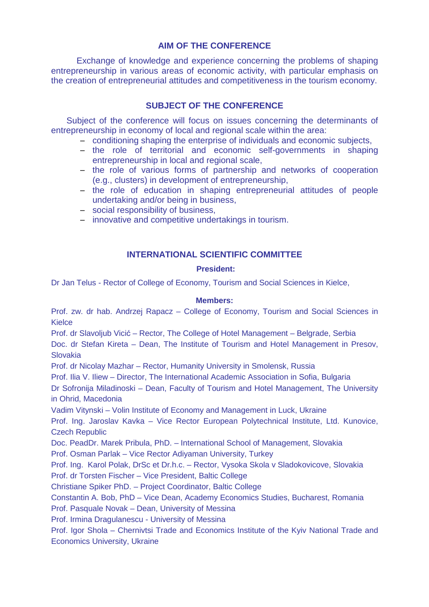# **AIM OF THE CONFERENCE**

Exchange of knowledge and experience concerning the problems of shaping entrepreneurship in various areas of economic activity, with particular emphasis on the creation of entrepreneurial attitudes and competitiveness in the tourism economy.

# **SUBJECT OF THE CONFERENCE**

Subject of the conference will focus on issues concerning the determinants of entrepreneurship in economy of local and regional scale within the area:

- − conditioning shaping the enterprise of individuals and economic subjects,
- − the role of territorial and economic self-governments in shaping entrepreneurship in local and regional scale,
- − the role of various forms of partnership and networks of cooperation (e.g., clusters) in development of entrepreneurship,
- − the role of education in shaping entrepreneurial attitudes of people undertaking and/or being in business,
- − social responsibility of business,
- − innovative and competitive undertakings in tourism.

# **INTERNATIONAL SCIENTIFIC COMMITTEE**

## **President:**

Dr Jan Telus - Rector of College of Economy, Tourism and Social Sciences in Kielce,

## **Members:**

Prof. zw. dr hab. Andrzej Rapacz – College of Economy, Tourism and Social Sciences in Kielce

Prof. dr Slavoljub Vicić – Rector, The College of Hotel Management – Belgrade, Serbia

Doc. dr Stefan Kireta – Dean, The Institute of Tourism and Hotel Management in Presov, Slovakia

Prof. dr Nicolay Mazhar – Rector, Humanity University in Smolensk, Russia

Prof. Ilia V. Iliew – Director, The International Academic Association in Sofia, Bulgaria

Dr Sofronija Miladinoski – Dean, Faculty of Tourism and Hotel Management, The University in Ohrid, Macedonia

Vadim Vitynski – Volin Institute of Economy and Management in Luck, Ukraine

Prof. Ing. Jaroslav Kavka – Vice Rector European Polytechnical Institute, Ltd. Kunovice, Czech Republic

Doc. PeadDr. Marek Pribula, PhD. – International School of Management, Slovakia

Prof. Osman Parlak – Vice Rector Adiyaman University, Turkey

Prof. Ing. Karol Polak, DrSc et Dr.h.c. – Rector, Vysoka Skola v Sladokovicove, Slovakia

Prof. dr Torsten Fischer – Vice President, Baltic College

Christiane Spiker PhD. – Project Coordinator, Baltic College

Constantin A. Bob, PhD – Vice Dean, Academy Economics Studies, Bucharest, Romania

Prof. Pasquale Novak – Dean, University of Messina

Prof. Irmina Dragulanescu - University of Messina

Prof. Igor Shola – Chernivtsi Trade and Economics Institute of the Kyiv National Trade and Economics University, Ukraine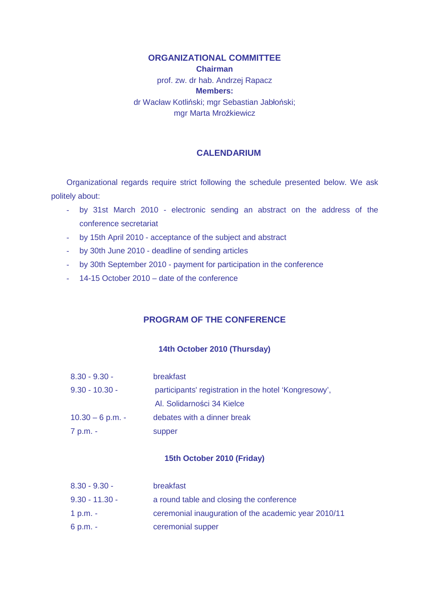## **ORGANIZATIONAL COMMITTEE**

**Chairman**  prof. zw. dr hab. Andrzej Rapacz **Members:**  dr Wacław Kotliński; mgr Sebastian Jabłoński; mgr Marta Mrożkiewicz

## **CALENDARIUM**

Organizational regards require strict following the schedule presented below. We ask politely about:

- by 31st March 2010 electronic sending an abstract on the address of the conference secretariat
- by 15th April 2010 acceptance of the subject and abstract
- by 30th June 2010 deadline of sending articles
- by 30th September 2010 payment for participation in the conference
- 14-15 October 2010 date of the conference

# **PROGRAM OF THE CONFERENCE**

## **14th October 2010 (Thursday)**

| $8.30 - 9.30 -$    | <b>breakfast</b>                                      |
|--------------------|-------------------------------------------------------|
| $9.30 - 10.30 -$   | participants' registration in the hotel 'Kongresowy', |
|                    | Al. Solidarności 34 Kielce                            |
| $10.30 - 6$ p.m. - | debates with a dinner break                           |
| 7 p.m. -           | supper                                                |

#### **15th October 2010 (Friday)**

| $8.30 - 9.30 -$  | breakfast                                            |
|------------------|------------------------------------------------------|
| $9.30 - 11.30 -$ | a round table and closing the conference             |
| 1 p.m. $-$       | ceremonial inauguration of the academic year 2010/11 |
| 6 p.m. -         | ceremonial supper                                    |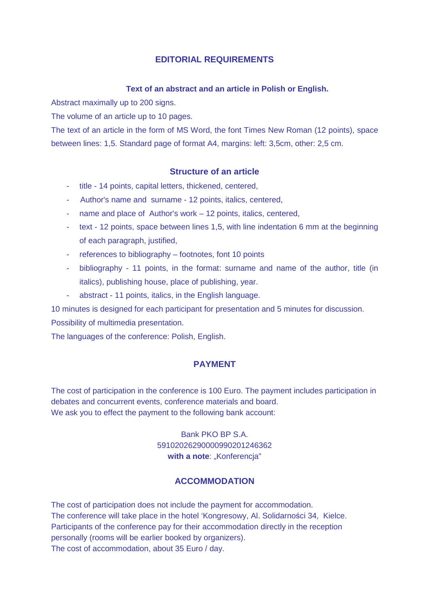# **EDITORIAL REQUIREMENTS**

#### **Text of an abstract and an article in Polish or English.**

Abstract maximally up to 200 signs.

The volume of an article up to 10 pages.

The text of an article in the form of MS Word, the font Times New Roman (12 points), space between lines: 1,5. Standard page of format A4, margins: left: 3,5cm, other: 2,5 cm.

## **Structure of an article**

- title 14 points, capital letters, thickened, centered,
- Author's name and surname 12 points, italics, centered,
- name and place of Author's work 12 points, italics, centered,
- text 12 points, space between lines 1,5, with line indentation 6 mm at the beginning of each paragraph, justified,
- references to bibliography footnotes, font 10 points
- bibliography 11 points, in the format: surname and name of the author, title (in italics), publishing house, place of publishing, year.
- abstract 11 points, italics, in the English language.

10 minutes is designed for each participant for presentation and 5 minutes for discussion. Possibility of multimedia presentation.

The languages of the conference: Polish, English.

## **PAYMENT**

The cost of participation in the conference is 100 Euro. The payment includes participation in debates and concurrent events, conference materials and board. We ask you to effect the payment to the following bank account:

# Bank PKO BP S.A. 59102026290000990201246362 with a note: "Konferencja"

## **ACCOMMODATION**

The cost of participation does not include the payment for accommodation. The conference will take place in the hotel 'Kongresowy, Al. Solidarności 34, Kielce. Participants of the conference pay for their accommodation directly in the reception personally (rooms will be earlier booked by organizers). The cost of accommodation, about 35 Euro / day.